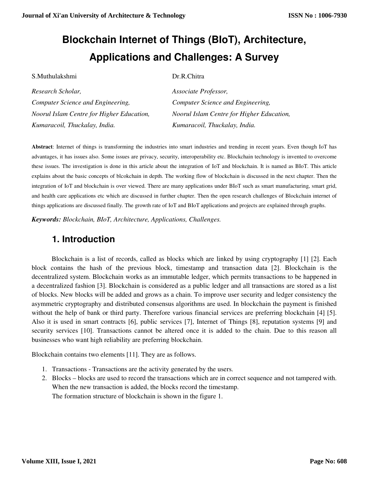S.Muthulakshmi Dr.R.Chitra

# **Blockchain Internet of Things (BIoT), Architecture, Applications and Challenges: A Survey**

| Research Scholar,                         | Associate Professor,                      |
|-------------------------------------------|-------------------------------------------|
| Computer Science and Engineering,         | Computer Science and Engineering,         |
| Noorul Islam Centre for Higher Education, | Noorul Islam Centre for Higher Education, |
| Kumaracoil, Thuckalay, India.             | Kumaracoil, Thuckalay, India.             |

**Abstract**: Internet of things is transforming the industries into smart industries and trending in recent years. Even though IoT has advantages, it has issues also. Some issues are privacy, security, interoperability etc. Blockchain technology is invented to overcome these issues. The investigation is done in this article about the integration of IoT and blockchain. It is named as BIoT. This article explains about the basic concepts of blcokchain in depth. The working flow of blockchain is discussed in the next chapter. Then the integration of IoT and blockchain is over viewed. There are many applications under BIoT such as smart manufacturing, smart grid, and health care applications etc which are discussed in further chapter. Then the open research challenges of Blockchain internet of things applications are discussed finally. The growth rate of IoT and BIoT applications and projects are explained through graphs.

*Keywords: Blockchain, BIoT, Architecture, Applications, Challenges.* 

## **1. Introduction**

Blockchain is a list of records, called as blocks which are linked by using cryptography [1] [2]. Each block contains the hash of the previous block, timestamp and transaction data [2]. Blockchain is the decentralized system. Blockchain works as an immutable ledger, which permits transactions to be happened in a decentralized fashion [3]. Blockchain is considered as a public ledger and all transactions are stored as a list of blocks. New blocks will be added and grows as a chain. To improve user security and ledger consistency the asymmetric cryptography and distributed consensus algorithms are used. In blockchain the payment is finished without the help of bank or third party. Therefore various financial services are preferring blockchain [4] [5]. Also it is used in smart contracts [6], public services [7], Internet of Things [8], reputation systems [9] and security services [10]. Transactions cannot be altered once it is added to the chain. Due to this reason all businesses who want high reliability are preferring blockchain.

Blockchain contains two elements [11]. They are as follows.

- 1. Transactions Transactions are the activity generated by the users.
- 2. Blocks blocks are used to record the transactions which are in correct sequence and not tampered with. When the new transaction is added, the blocks record the timestamp. The formation structure of blockchain is shown in the figure 1.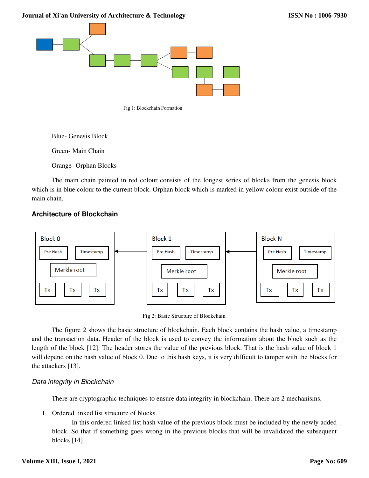**Journal of Xi'an University of Architecture & Technology**



Fig 1: Blockchain Formation

Blue- Genesis Block

Green- Main Chain

Orange- Orphan Blocks

The main chain painted in red colour consists of the longest series of blocks from the genesis block which is in blue colour to the current block. Orphan block which is marked in yellow colour exist outside of the main chain.

### **Architecture of Blockchain**



Fig 2: Basic Structure of Blockchain

The figure 2 shows the basic structure of blockchain. Each block contains the hash value, a timestamp and the transaction data. Header of the block is used to convey the information about the block such as the length of the block [12]. The header stores the value of the previous block. That is the hash value of block 1 will depend on the hash value of block 0. Due to this hash keys, it is very difficult to tamper with the blocks for the attackers [13].

#### Data integrity in Blockchain

There are cryptographic techniques to ensure data integrity in blockchain. There are 2 mechanisms.

1. Ordered linked list structure of blocks

In this ordered linked list hash value of the previous block must be included by the newly added block. So that if something goes wrong in the previous blocks that will be invalidated the subsequent blocks [14].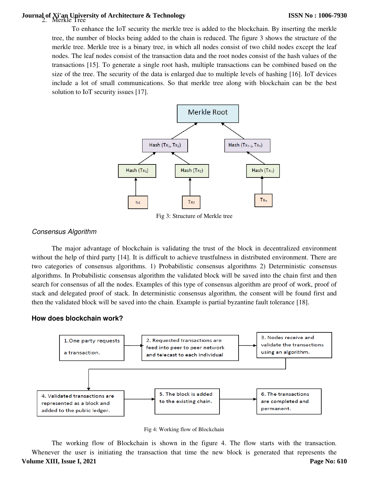# 2. Merkle Tree **Journal of Xi'an University of Architecture & Technology**

To enhance the IoT security the merkle tree is added to the blockchain. By inserting the merkle tree, the number of blocks being added to the chain is reduced. The figure 3 shows the structure of the merkle tree. Merkle tree is a binary tree, in which all nodes consist of two child nodes except the leaf nodes. The leaf nodes consist of the transaction data and the root nodes consist of the hash values of the transactions [15]. To generate a single root hash, multiple transactions can be combined based on the size of the tree. The security of the data is enlarged due to multiple levels of hashing [16]. IoT devices include a lot of small communications. So that merkle tree along with blockchain can be the best solution to IoT security issues [17].



Fig 3: Structure of Merkle tree

#### Consensus Algorithm

The major advantage of blockchain is validating the trust of the block in decentralized environment without the help of third party [14]. It is difficult to achieve trustfulness in distributed environment. There are two categories of consensus algorithms. 1) Probabilistic consensus algorithms 2) Deterministic consensus algorithms. In Probabilistic consensus algorithm the validated block will be saved into the chain first and then search for consensus of all the nodes. Examples of this type of consensus algorithm are proof of work, proof of stack and delegated proof of stack. In deterministic consensus algorithm, the consent will be found first and then the validated block will be saved into the chain. Example is partial byzantine fault tolerance [18].

#### **How does blockchain work?**



Fig 4: Working flow of Blockchain

 The working flow of Blockchain is shown in the figure 4. The flow starts with the transaction. Whenever the user is initiating the transaction that time the new block is generated that represents the **Volume XIII, Issue I, 2021 Page No: 610**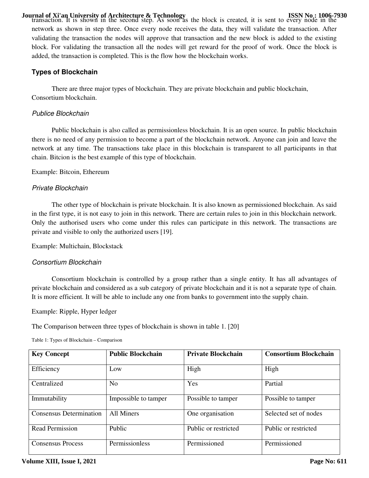**Journal of Xi'an University of Architecture & Technology**<br>transaction. It is shown in the second step. As soon as the block is created, it is sent to every node in the network as shown in step three. Once every node receives the data, they will validate the transaction. After validating the transaction the nodes will approve that transaction and the new block is added to the existing block. For validating the transaction all the nodes will get reward for the proof of work. Once the block is added, the transaction is completed. This is the flow how the blockchain works.

### **Types of Blockchain**

There are three major types of blockchain. They are private blockchain and public blockchain, Consortium blockchain.

#### Publice Blockchain

Public blockchain is also called as permissionless blockchain. It is an open source. In public blockchain there is no need of any permission to become a part of the blockchain network. Anyone can join and leave the network at any time. The transactions take place in this blockchain is transparent to all participants in that chain. Bitcion is the best example of this type of blockchain.

Example: Bitcoin, Ethereum

#### Private Blockchain

 The other type of blockchain is private blockchain. It is also known as permissioned blockchain. As said in the first type, it is not easy to join in this network. There are certain rules to join in this blockchain network. Only the authorised users who come under this rules can participate in this network. The transactions are private and visible to only the authorized users [19].

Example: Multichain, Blockstack

#### Consortium Blockchain

Consortium blockchain is controlled by a group rather than a single entity. It has all advantages of private blockchain and considered as a sub category of private blockchain and it is not a separate type of chain. It is more efficient. It will be able to include any one from banks to government into the supply chain.

Example: Ripple, Hyper ledger

The Comparison between three types of blockchain is shown in table 1. [20]

| <b>Key Concept</b>             | <b>Public Blockchain</b> | <b>Private Blockchain</b> | <b>Consortium Blockchain</b> |
|--------------------------------|--------------------------|---------------------------|------------------------------|
| Efficiency                     | Low                      | High                      | High                         |
| Centralized                    | N <sub>0</sub>           | Yes                       | Partial                      |
| Immutability                   | Impossible to tamper     | Possible to tamper        | Possible to tamper           |
| <b>Consensus Determination</b> | All Miners               | One organisation          | Selected set of nodes        |
| <b>Read Permission</b>         | Public                   | Public or restricted      | Public or restricted         |
| <b>Consensus Process</b>       | Permissionless           | Permissioned              | Permissioned                 |

Table 1: Types of Blockchain – Comparison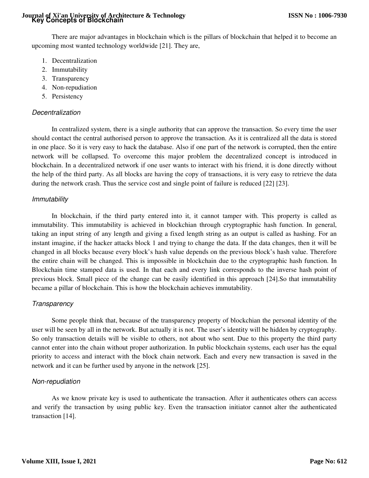# **Key Concepts of Blockchain Journal of Xi'an University of Architecture & Technology**

There are major advantages in blockchain which is the pillars of blockchain that helped it to become an upcoming most wanted technology worldwide [21]. They are,

- 1. Decentralization
- 2. Immutability
- 3. Transparency
- 4. Non-repudiation
- 5. Persistency

### Decentralization

In centralized system, there is a single authority that can approve the transaction. So every time the user should contact the central authorised person to approve the transaction. As it is centralized all the data is stored in one place. So it is very easy to hack the database. Also if one part of the network is corrupted, then the entire network will be collapsed. To overcome this major problem the decentralized concept is introduced in blockchain. In a decentralized network if one user wants to interact with his friend, it is done directly without the help of the third party. As all blocks are having the copy of transactions, it is very easy to retrieve the data during the network crash. Thus the service cost and single point of failure is reduced [22] [23].

### Immutability

In blockchain, if the third party entered into it, it cannot tamper with. This property is called as immutability. This immutability is achieved in blockchian through cryptographic hash function. In general, taking an input string of any length and giving a fixed length string as an output is called as hashing. For an instant imagine, if the hacker attacks block 1 and trying to change the data. If the data changes, then it will be changed in all blocks because every block's hash value depends on the previous block's hash value. Therefore the entire chain will be changed. This is impossible in blockchain due to the cryptographic hash function. In Blockchain time stamped data is used. In that each and every link corresponds to the inverse hash point of previous block. Small piece of the change can be easily identified in this approach [24].So that immutability became a pillar of blockchain. This is how the blockchain achieves immutability.

### **Transparency**

Some people think that, because of the transparency property of blockchian the personal identity of the user will be seen by all in the network. But actually it is not. The user's identity will be hidden by cryptography. So only transaction details will be visible to others, not about who sent. Due to this property the third party cannot enter into the chain without proper authorization. In public blockchain systems, each user has the equal priority to access and interact with the block chain network. Each and every new transaction is saved in the network and it can be further used by anyone in the network [25].

### Non-repudiation

As we know private key is used to authenticate the transaction. After it authenticates others can access and verify the transaction by using public key. Even the transaction initiator cannot alter the authenticated transaction [14].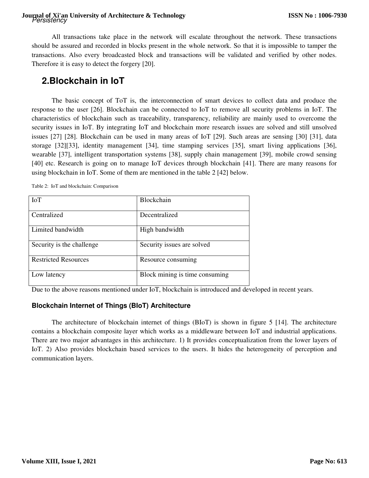# Persistency **Journal of Xi'an University of Architecture & Technology**

All transactions take place in the network will escalate throughout the network. These transactions should be assured and recorded in blocks present in the whole network. So that it is impossible to tamper the transactions. Also every broadcasted block and transactions will be validated and verified by other nodes. Therefore it is easy to detect the forgery [20].

## **2.Blockchain in IoT**

The basic concept of ToT is, the interconnection of smart devices to collect data and produce the response to the user [26]. Blockchain can be connected to IoT to remove all security problems in IoT. The characteristics of blockchain such as traceability, transparency, reliability are mainly used to overcome the security issues in IoT. By integrating IoT and blockchain more research issues are solved and still unsolved issues [27] [28]. Blockchain can be used in many areas of IoT [29]. Such areas are sensing [30] [31], data storage [32][33], identity management [34], time stamping services [35], smart living applications [36], wearable [37], intelligent transportation systems [38], supply chain management [39], mobile crowd sensing [40] etc. Research is going on to manage IoT devices through blockchain [41]. There are many reasons for using blockchain in IoT. Some of them are mentioned in the table 2 [42] below.

Table 2: IoT and blockchain: Comparison

| <b>IoT</b>                  | <b>Blockchain</b>              |
|-----------------------------|--------------------------------|
| Centralized                 | Decentralized                  |
| Limited bandwidth           | High bandwidth                 |
| Security is the challenge.  | Security issues are solved     |
| <b>Restricted Resources</b> | Resource consuming             |
| Low latency                 | Block mining is time consuming |

Due to the above reasons mentioned under IoT, blockchain is introduced and developed in recent years.

### **Blockchain Internet of Things (BIoT) Architecture**

The architecture of blockchain internet of things (BIoT) is shown in figure 5 [14]. The architecture contains a blockchain composite layer which works as a middleware between IoT and industrial applications. There are two major advantages in this architecture. 1) It provides conceptualization from the lower layers of IoT. 2) Also provides blockchain based services to the users. It hides the heterogeneity of perception and communication layers.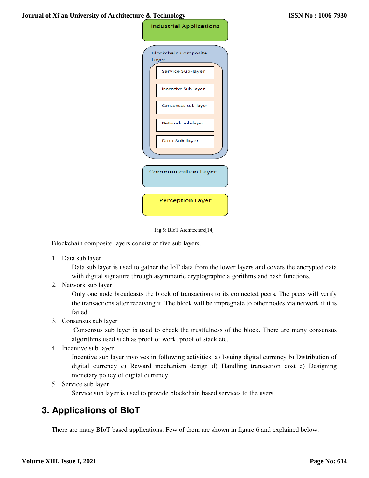| <b>Industrial Applications</b>                  |
|-------------------------------------------------|
| <b>Blockchain Composite</b><br>Layer            |
| Service Sub-layer<br><b>Incentive Sub-layer</b> |
| Consensus sub-layer                             |
| Network Sub-layer                               |
| Data Sub-layer                                  |
|                                                 |
| Communication Layer                             |
| <b>Perception Layer</b>                         |



Blockchain composite layers consist of five sub layers.

1. Data sub layer

Data sub layer is used to gather the IoT data from the lower layers and covers the encrypted data with digital signature through asymmetric cryptographic algorithms and hash functions.

2. Network sub layer

Only one node broadcasts the block of transactions to its connected peers. The peers will verify the transactions after receiving it. The block will be impregnate to other nodes via network if it is failed.

3. Consensus sub layer

 Consensus sub layer is used to check the trustfulness of the block. There are many consensus algorithms used such as proof of work, proof of stack etc.

4. Incentive sub layer

Incentive sub layer involves in following activities. a) Issuing digital currency b) Distribution of digital currency c) Reward mechanism design d) Handling transaction cost e) Designing monetary policy of digital currency.

5. Service sub layer

Service sub layer is used to provide blockchain based services to the users.

## **3. Applications of BIoT**

There are many BIoT based applications. Few of them are shown in figure 6 and explained below.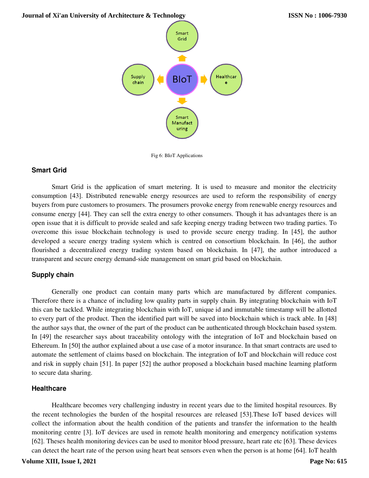**Journal of Xi'an University of Architecture & Technology**



Fig 6: BIoT Applications

#### **Smart Grid**

Smart Grid is the application of smart metering. It is used to measure and monitor the electricity consumption [43]. Distributed renewable energy resources are used to reform the responsibility of energy buyers from pure customers to prosumers. The prosumers provoke energy from renewable energy resources and consume energy [44]. They can sell the extra energy to other consumers. Though it has advantages there is an open issue that it is difficult to provide sealed and safe keeping energy trading between two trading parties. To overcome this issue blockchain technology is used to provide secure energy trading. In [45], the author developed a secure energy trading system which is centred on consortium blockchain. In [46], the author flourished a decentralized energy trading system based on blockchain. In [47], the author introduced a transparent and secure energy demand-side management on smart grid based on blockchain.

#### **Supply chain**

Generally one product can contain many parts which are manufactured by different companies. Therefore there is a chance of including low quality parts in supply chain. By integrating blockchain with IoT this can be tackled. While integrating blockchain with IoT, unique id and immutable timestamp will be allotted to every part of the product. Then the identified part will be saved into blockchain which is track able. In [48] the author says that, the owner of the part of the product can be authenticated through blockchain based system. In [49] the researcher says about traceability ontology with the integration of IoT and blockchain based on Ethereum. In [50] the author explained about a use case of a motor insurance. In that smart contracts are used to automate the settlement of claims based on blockchain. The integration of IoT and blockchain will reduce cost and risk in supply chain [51]. In paper [52] the author proposed a blockchain based machine learning platform to secure data sharing.

#### **Healthcare**

Healthcare becomes very challenging industry in recent years due to the limited hospital resources. By the recent technologies the burden of the hospital resources are released [53].These IoT based devices will collect the information about the health condition of the patients and transfer the information to the health monitoring centre [3]. IoT devices are used in remote health monitoring and emergency notification systems [62]. Theses health monitoring devices can be used to monitor blood pressure, heart rate etc [63]. These devices can detect the heart rate of the person using heart beat sensors even when the person is at home [64]. IoT health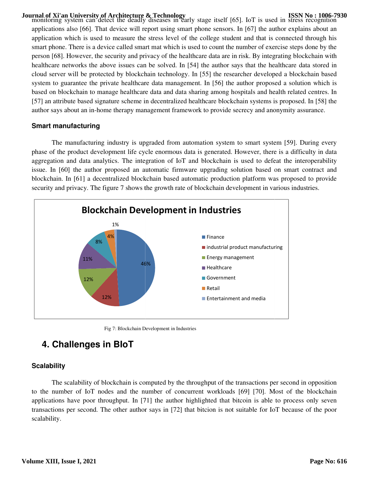**Journal of Xi'an University of Architecture & Technology**<br>monitoring system can detect the deadly diseases in early stage itself [65]. IoT is used in stress recognition applications also [66]. That device will report using smart phone sensors. In [67] the author explains about an application which is used to measure the stress level of the college student and that is connected through his application which is used to measure the stress level of the college student and that is connected through his<br>smart phone. There is a device called smart mat which is used to count the number of exercise steps done by the application which is used to measure the stress level of the college student and that is connected through his<br>smart phone. There is a device called smart mat which is used to count the number of exercise steps done by the healthcare networks the above issues can be solved. In [54] the author says that the healthcare data stored in cloud server will be protected by blockchain technology. In [55] the researcher developed a blockchain based healthcare networks the above issues can be solved. In [54] the author says that the healthcare data stored in<br>cloud server will be protected by blockchain technology. In [55] the researcher developed a blockchain based<br>sy based on blockchain to manage healthcare data and data sharing among hosp hospitals and health related centres. In based on blockchain to manage healthcare data and data sharing among hospitals and health related centres. In<br>[57] an attribute based signature scheme in decentralized healthcare blockchain systems is proposed. In [58] the author says about an in-home therapy management framework to provide secrecy and anonymity assurance. ] an attribute based signature scheme in decentralized healthcare blockchain systems is proposed. In [58] the hor says about an in-home therapy management framework to provide secrecy and anonymity assurance.<br> **art manufac** 

#### **Smart manufacturing**

phase of the product development life cycle enormous data is generated. However, there is a difficulty in data aggregation and data analytics. The integration of IoT and blockchain is used to defeat the interoperability issue. In [60] the author proposed an automatic firmware upgrading solution based on smart contract and phase of the product development life cycle enormous data is generated. However, there is a difficulty in data aggregation and data analytics. The integration of IoT and blockchain is used to defeat the interoperability is security and privacy. The figure 7 shows the growth rate of blockchain development in various industries.



Fig 7: Blockchain Development in Industries :

## **4. Challenges in BIoT**

#### **Scalability**

The scalability of blockchain is computed by the throughput of the transactions per second in opposition to the number of IoT nodes and the number of concurrent workloads [69] [70]. Most of the applications have poor throughput. In [71] the author highlighted that bitcoin is able to process only seven transactions per second. The other author says in [72] that bitcion is not suitable for IoT because of the poor transactions per second. The other author says in [72] that bitcion is not suitable for IoT because of scalability.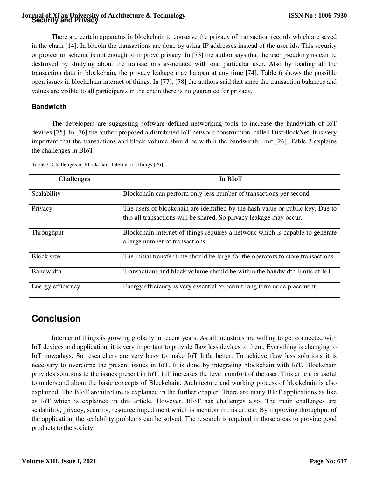# **Security and Privacy Journal of Xi'an University of Architecture & Technology**

There are certain apparatus in blockchain to conserve the privacy of transaction records which are saved in the chain [14]. In bitcoin the transactions are done by using IP addresses instead of the user ids. This security or protection scheme is not enough to improve privacy. In [73] the author says that the user pseudonyms can be destroyed by studying about the transactions associated with one particular user. Also by loading all the transaction data in blockchain, the privacy leakage may happen at any time [74]. Table 6 shows the possible open issues in blockchain internet of things. In [77], [78] the authors said that since the transaction balances and values are visible to all participants in the chain there is no guarantee for privacy.

### **Bandwidth**

The developers are suggesting software defined networking tools to increase the bandwidth of IoT devices [75]. In [76] the author proposed a distributed IoT network construction, called DistBlockNet. It is very important that the transactions and block volume should be within the bandwidth limit [26]. Table 3 explains the challenges in BIoT.

| <b>Challenges</b> | In BIoT                                                                            |
|-------------------|------------------------------------------------------------------------------------|
| Scalability       | Blockchain can perform only less number of transactions per second                 |
| Privacy           | The users of blockchain are identified by the hash value or public key. Due to     |
|                   | this all transactions will be shared. So privacy leakage may occur.                |
| Throughput        | Blockchain internet of things requires a network which is capable to generate      |
|                   | a large number of transactions.                                                    |
| <b>Block</b> size | The initial transfer time should be large for the operators to store transactions. |
| Bandwidth         | Transactions and block volume should be within the bandwidth limits of IoT.        |
| Energy efficiency | Energy efficiency is very essential to permit long term node placement.            |

Table 3: Challenges in Blockchain Internet of Things [26]

# **Conclusion**

Internet of things is growing globally in recent years. As all industries are willing to get connected with IoT devices and application, it is very important to provide flaw less devices to them. Everything is changing to IoT nowadays. So researchers are very busy to make IoT little better. To achieve flaw less solutions it is necessary to overcome the present issues in IoT. It is done by integrating blockchain with IoT. Blockchain provides solutions to the issues present in IoT. IoT increases the level comfort of the user. This article is useful to understand about the basic concepts of Blockchain. Architecture and working process of blockchain is also explained. The BIoT architecture is explained in the further chapter. There are many BIoT applications as like as IoT which is explained in this article. However, BIoT has challenges also. The main challenges are scalability, privacy, security, resource impediment which is mention in this article. By improving throughput of the application, the scalability problems can be solved. The research is required in those areas to provide good products to the society.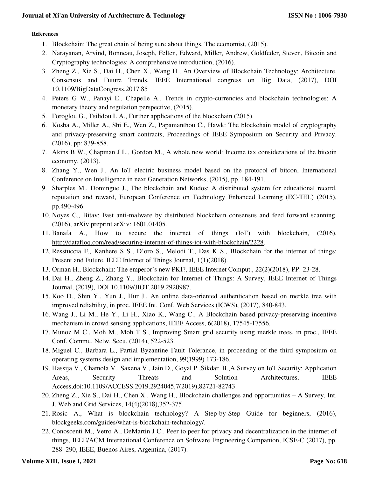#### **References**

- 1. Blockchain: The great chain of being sure about things, The economist, (2015).
- 2. Narayanan, Arvind, Bonneau, Joseph, Felten, Edward, Miller, Andrew, Goldfeder, Steven, Bitcoin and Cryptography technologies: A comprehensive introduction, (2016).
- 3. Zheng Z., Xie S., Dai H., Chen X., Wang H., An Overview of Blockchain Technology: Architecture, Consensus and Future Trends, IEEE International congress on Big Data, (2017), DOI 10.1109/BigDataCongress.2017.85
- 4. Peters G W., Panayi E., Chapelle A., Trends in crypto-currencies and blockchain technologies: A monetary theory and regulation perspective, (2015).
- 5. Foroglou G., Tsilidou L A., Further applications of the blockchain (2015).
- 6. Kosba A., Miller A., Shi E., Wen Z., Papamanthou C., Hawk: The blockchain model of cryptography and privacy-preserving smart contracts, Proceedings of IEEE Symposium on Security and Privacy, (2016), pp: 839-858.
- 7. Akins B W., Chapman J L., Gordon M., A whole new world: Income tax considerations of the bitcoin economy, (2013).
- 8. Zhang Y., Wen J., An IoT electric business model based on the protocol of bitcon, International Conference on Intelligence in next Generation Networks, (2015), pp. 184-191.
- 9. Sharples M., Domingue J., The blockchain and Kudos: A distributed system for educational record, reputation and reward, European Conference on Technology Enhanced Learning (EC-TEL) (2015), pp.490-496.
- 10. Noyes C., Bitav: Fast anti-malware by distributed blockchain consensus and feed forward scanning, (2016), arXiv preprint arXiv: 1601.01405.
- 11. Banafa A., How to secure the internet of things (IoT) with blockchain, (2016), http://datafloq.com/read/securing-internet-of-things-iot-with-blockchain/2228.
- 12. Resstuccia F., Kanhere S S., D'oro S., Melodi T., Das K S., Blockchain for the internet of things: Present and Future, IEEE Internet of Things Journal, 1(1)(2018).
- 13. Orman H., Blockchain: The emperor's new PKI?, IEEE Internet Comput., 22(2)(2018), PP: 23-28.
- 14. Dai H., Zheng Z., Zhang Y., Blockchain for Internet of Things: A Survey, IEEE Internet of Things Journal, (2019), DOI 10.1109/JIOT.2019.2920987.
- 15. Koo D., Shin Y., Yun J., Hur J., An online data-oriented authentication based on merkle tree with improved reliability, in proc. IEEE Int. Conf. Web Services (ICWS), (2017), 840-843.
- 16. Wang J., Li M., He Y., Li H., Xiao K., Wang C., A Blockchain based privacy-preserving incentive mechanism in crowd sensing applications, IEEE Access, 6(2018), 17545-17556.
- 17. Munoz M C., Moh M., Moh T S., Improving Smart grid security using merkle trees, in proc., IEEE Conf. Commu. Netw. Secu. (2014), 522-523.
- 18. Miguel C., Barbara L., Partial Byzantine Fault Tolerance, in proceeding of the third symposium on operating systems design and implementation, 99(1999) 173-186.
- 19. Hassija V., Chamola V., Saxena V., Jain D., Goyal P.,Sikdar B.,A Survey on IoT Security: Application Areas, Security Threats and Solution Architectures, IEEE Access,doi:10.1109/ACCESS.2019.2924045,7(2019),82721-82743.
- 20. Zheng Z., Xie S., Dai H., Chen X., Wang H., Blockchain challenges and opportunities A Survey, Int. J. Web and Grid Services, 14(4)(2018),352-375.
- 21. Rosic A., What is blockchain technology? A Step-by-Step Guide for beginners, (2016), blockgeeks.com/guides/what-is-blockchain-technology/.
- 22. Conoscenti M., Vetro A., DeMartin J C., Peer to peer for privacy and decentralization in the internet of things, IEEE/ACM International Conference on Software Engineering Companion, ICSE-C (2017), pp. 288–290, IEEE, Buenos Aires, Argentina, (2017).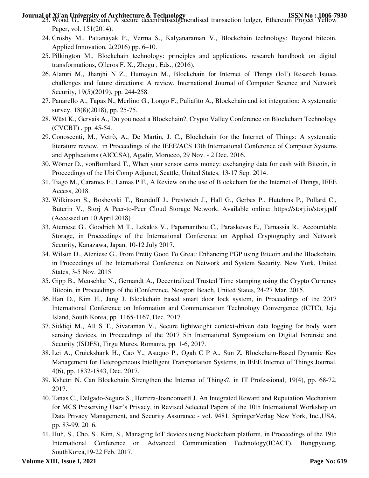- **Journal of Xi'an University of Architecture & Technology<br>23. Wood G., Ethereum, A secure decentralisedgeneralised transaction ledger, Ethereum Project Yellow** Paper, vol. 151(2014).
	- 24. Crosby M., Pattanayak P., Verma S., Kalyanaraman V., Blockchain technology: Beyond bitcoin, Applied Innovation, 2(2016) pp. 6–10.
	- 25. Pilkington M., Blockchain technology: principles and applications. research handbook on digital transformations, Olleros F. X., Zhegu , Eds., (2016).
	- 26. Alamri M., Jhanjhi N Z., Humayun M., Blockchain for Internet of Things (IoT) Resarch Isuues challenges and future directions: A review, International Journal of Computer Science and Network Security, 19(5)(2019), pp. 244-258.
	- 27. Panarello A., Tapas N., Merlino G., Longo F., Puliafito A., Blockchain and iot integration: A systematic survey, 18(8)(2018), pp. 25-75.
	- 28. Wüst K., Gervais A., Do you need a Blockchain?, Crypto Valley Conference on Blockchain Technology (CVCBT) , pp. 45-54.
	- 29. Conoscenti, M., Vetrò, A., De Martin, J. C., Blockchain for the Internet of Things: A systematic literature review, in Proceedings of the IEEE/ACS 13th International Conference of Computer Systems and Applications (AICCSA), Agadir, Morocco, 29 Nov. - 2 Dec. 2016.
	- 30. Wörner D., vonBomhard T., When your sensor earns money: exchanging data for cash with Bitcoin, in Proceedings of the Ubi Comp Adjunct, Seattle, United States, 13-17 Sep. 2014.
	- 31. Tiago M., Carames F., Lamas P F., A Review on the use of Blockchain for the Internet of Things, IEEE Access, 2018.
	- 32. Wilkinson S., Boshevski T., Brandoff J., Prestwich J., Hall G., Gerbes P., Hutchins P., Pollard C., Buterin V., Storj A Peer-to-Peer Cloud Storage Network, Available online: https://storj.io/storj.pdf (Accessed on 10 April 2018)
	- 33. Ateniese G., Goodrich M T., Lekakis V., Papamanthou C., Paraskevas E., Tamassia R., Accountable Storage, in Proceedings of the International Conference on Applied Cryptography and Network Security, Kanazawa, Japan, 10-12 July 2017.
	- 34. Wilson D., Ateniese G., From Pretty Good To Great: Enhancing PGP using Bitcoin and the Blockchain, in Proceedings of the International Conference on Network and System Security, New York, United States, 3-5 Nov. 2015.
	- 35. Gipp B., Meuschke N., Gernandt A., Decentralized Trusted Time stamping using the Crypto Currency Bitcoin, in Proceedings of the iConference, Newport Beach, United States, 24-27 Mar. 2015.
	- 36. Han D., Kim H., Jang J. Blockchain based smart door lock system, in Proceedings of the 2017 International Conference on Information and Communication Technology Convergence (ICTC), Jeju Island, South Korea, pp. 1165-1167, Dec. 2017.
	- 37. Siddiqi M., All S T., Sivaraman V., Secure lightweight context-driven data logging for body worn sensing devices, in Proceedings of the 2017 5th International Symposium on Digital Forensic and Security (ISDFS), Tirgu Mures, Romania, pp. 1-6, 2017.
	- 38. Lei A., Cruickshank H., Cao Y., Asuquo P., Ogah C P A., Sun Z. Blockchain-Based Dynamic Key Management for Heterogeneous Intelligent Transportation Systems, in IEEE Internet of Things Journal, 4(6), pp. 1832-1843, Dec. 2017.
	- 39. Kshetri N. Can Blockchain Strengthen the Internet of Things?, in IT Professional, 19(4), pp. 68-72, 2017.
	- 40. Tanas C., Delgado-Segura S., Herrera-Joancomartí J. An Integrated Reward and Reputation Mechanism for MCS Preserving User's Privacy, in Revised Selected Papers of the 10th International Workshop on Data Privacy Management, and Security Assurance - vol. 9481. SpringerVerlag New York, Inc.,USA, pp. 83-99, 2016.
	- 41. Huh, S., Cho, S., Kim, S., Managing IoT devices using blockchain platform, in Proceedings of the 19th International Conference on Advanced Communication Technology(ICACT), Bongpyeong, SouthKorea,19-22 Feb. 2017.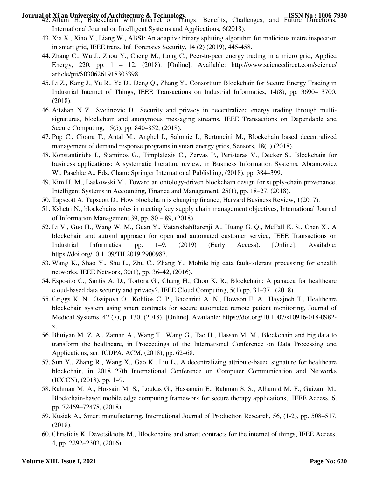- **Journal of Xi'an University of Architecture & Technology<br>42. Atlam H., Blockchain with Internet of Things: Benefits, Challenges, and Future Directions,** International Journal on Intelligent Systems and Applications, 6(2018).
	- 43. Xia X., Xiao Y., Liang W., ABSI: An adaptive binary splitting algorithm for malicious metre inspection in smart grid, IEEE trans. Inf. Forensics Security, 14 (2) (2019), 445-458.
	- 44. Zhang C., Wu J., Zhou Y., Cheng M., Long C., Peer-to-peer energy trading in a micro grid, Applied Energy, 220, pp. 1 – 12, (2018). [Online]. Available: http://www.sciencedirect.com/science/ article/pii/S0306261918303398.
	- 45. Li Z., Kang J., Yu R., Ye D., Deng Q., Zhang Y., Consortium Blockchain for Secure Energy Trading in Industrial Internet of Things, IEEE Transactions on Industrial Informatics, 14(8), pp. 3690– 3700, (2018).
	- 46. Aitzhan N Z., Svetinovic D., Security and privacy in decentralized energy trading through multisignatures, blockchain and anonymous messaging streams, IEEE Transactions on Dependable and Secure Computing, 15(5), pp. 840–852, (2018).
	- 47. Pop C., Cioara T., Antal M., Anghel I., Salomie I., Bertoncini M., Blockchain based decentralized management of demand response programs in smart energy grids, Sensors, 18(1),(2018).
	- 48. Konstantinidis I., Siaminos G., Timplalexis C., Zervas P., Peristeras V., Decker S., Blockchain for business applications: A systematic literature review, in Business Information Systems, Abramowicz W., Paschke A., Eds. Cham: Springer International Publishing, (2018), pp. 384–399.
	- 49. Kim H. M., Laskowski M., Toward an ontology-driven blockchain design for supply-chain provenance, Intelligent Systems in Accounting, Finance and Management, 25(1), pp. 18–27, (2018).
	- 50. Tapscott A. Tapscott D., How blockchain is changing finance, Harvard Business Review, 1(2017).
	- 51. Kshetri N., blockchains roles in meeting key supply chain management objectives, International Journal of Information Management,39, pp. 80 – 89, (2018).
	- 52. Li V., Guo H., Wang W. M., Guan Y., VatankhahBarenji A., Huang G. Q., McFall K. S., Chen X., A blockchain and automl approach for open and automated customer service, IEEE Transactions on Industrial Informatics, pp. 1–9, (2019) (Early Access). [Online]. Available: https://doi.org/10.1109/TII.2019.2900987.
	- 53. Wang K., Shao Y., Shu L., Zhu C., Zhang Y., Mobile big data fault-tolerant processing for ehealth networks, IEEE Network, 30(1), pp. 36–42, (2016).
	- 54. Esposito C., Santis A. D., Tortora G., Chang H., Choo K. R., Blockchain: A panacea for healthcare cloud-based data security and privacy?, IEEE Cloud Computing, 5(1) pp. 31–37, (2018).
	- 55. Griggs K. N., Ossipova O., Kohlios C. P., Baccarini A. N., Howson E. A., Hayajneh T., Healthcare blockchain system using smart contracts for secure automated remote patient monitoring, Journal of Medical Systems, 42 (7), p. 130, (2018). [Online]. Available: https://doi.org/10.1007/s10916-018-0982 x.
	- 56. Bhuiyan M. Z. A., Zaman A., Wang T., Wang G., Tao H., Hassan M. M., Blockchain and big data to transform the healthcare, in Proceedings of the International Conference on Data Processing and Applications, ser. ICDPA. ACM, (2018), pp. 62–68.
	- 57. Sun Y., Zhang R., Wang X., Gao K., Liu L., A decentralizing attribute-based signature for healthcare blockchain, in 2018 27th International Conference on Computer Communication and Networks (ICCCN), (2018), pp. 1–9.
	- 58. Rahman M. A., Hossain M. S., Loukas G., Hassanain E., Rahman S. S., Alhamid M. F., Guizani M., Blockchain-based mobile edge computing framework for secure therapy applications, IEEE Access, 6, pp. 72469–72478, (2018).
	- 59. Kusiak A., Smart manufacturing, International Journal of Production Research, 56, (1-2), pp. 508–517, (2018).
	- 60. Christidis K. Devetsikiotis M., Blockchains and smart contracts for the internet of things, IEEE Access, 4, pp. 2292–2303, (2016).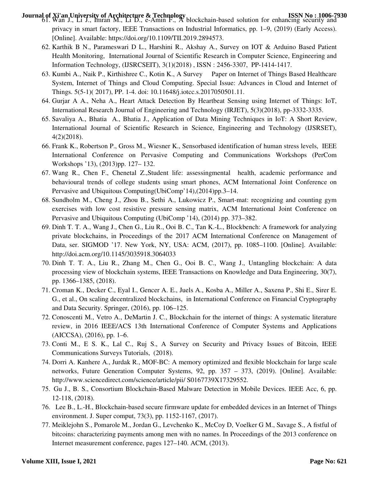- **Journal of Xi'an University of Architecture & Technology**<br>61. Wan J., Li J., Imran M., Li D., e-Amin F., A blockchain-based solution for enhancing security and privacy in smart factory, IEEE Transactions on Industrial Informatics, pp. 1–9, (2019) (Early Access). [Online]. Available: https://doi.org/10.1109/TII.2019.2894573.
	- 62. Karthik B N., Parameswari D L., Harshini R., Akshay A., Survey on IOT & Arduino Based Patient Health Monitoring, International Journal of Scientific Research in Computer Science, Engineering and Information Technology, (IJSRCSEIT), 3(1)(2018) , ISSN : 2456-3307, PP-1414-1417.
	- 63. Kumbi A., Naik P., Kirthishree C., Kotin K., A Survey Paper on Internet of Things Based Healthcare System, Internet of Things and Cloud Computing. Special Issue: Advances in Cloud and Internet of Things. 5(5-1)( 2017), PP. 1-4. doi: 10.11648/j.iotcc.s.2017050501.11.
	- 64. Gurjar A A., Neha A., Heart Attack Detection By Heartbeat Sensing using Internet of Things: IoT, International Research Journal of Engineering and Technology (IRJET), 5(3)(2018), pp-3332-3335.
	- 65. Savaliya A., Bhatia A., Bhatia J., Application of Data Mining Techniques in IoT: A Short Review, International Journal of Scientific Research in Science, Engineering and Technology (IJSRSET), 4(2)(2018).
	- 66. Frank K., Robertson P., Gross M., Wiesner K., Sensorbased identification of human stress levels, IEEE International Conference on Pervasive Computing and Communications Workshops (PerCom Workshops '13), (2013)pp. 127– 132.
	- 67. Wang R., Chen F., Chenetal Z.,Student life: assessingmental health, academic performance and behavioural trends of college students using smart phones, ACM International Joint Conference on Pervasive and Ubiquitous Computing(UbiComp'14),(2014)pp.3–14.
	- 68. Sundholm M., Cheng J., Zhou B., Sethi A., Lukowicz P., Smart-mat: recognizing and counting gym exercises with low cost resistive pressure sensing matrix, ACM International Joint Conference on Pervasive and Ubiquitous Computing (UbiComp '14), (2014) pp. 373–382.
	- 69. Dinh T. T. A., Wang J., Chen G., Liu R., Ooi B. C., Tan K.-L., Blockbench: A framework for analyzing private blockchains, in Proceedings of the 2017 ACM International Conference on Management of Data, ser. SIGMOD '17. New York, NY, USA: ACM, (2017), pp. 1085–1100. [Online]. Available: http://doi.acm.org/10.1145/3035918.3064033
	- 70. Dinh T. T. A., Liu R., Zhang M., Chen G., Ooi B. C., Wang J., Untangling blockchain: A data processing view of blockchain systems, IEEE Transactions on Knowledge and Data Engineering, 30(7), pp. 1366–1385, (2018).
	- 71. Croman K., Decker C., Eyal I., Gencer A. E., Juels A., Kosba A., Miller A., Saxena P., Shi E., Sirer E. G., et al., On scaling decentralized blockchains, in International Conference on Financial Cryptography and Data Security. Springer, (2016), pp. 106–125.
	- 72. Conoscenti M., Vetro A., DeMartin J. C., Blockchain for the internet of things: A systematic literature review, in 2016 IEEE/ACS 13th International Conference of Computer Systems and Applications (AICCSA), (2016), pp. 1–6.
	- 73. Conti M., E S. K., Lal C., Ruj S., A Survey on Security and Privacy Issues of Bitcoin, IEEE Communications Surveys Tutorials, (2018).
	- 74. Dorri A. Kanhere A., Jurdak R., MOF-BC: A memory optimized and flexible blockchain for large scale networks, Future Generation Computer Systems, 92, pp. 357 – 373, (2019). [Online]. Available: http://www.sciencedirect.com/science/article/pii/ S0167739X17329552.
	- 75. Gu J., B. S., Consortium Blockchain-Based Malware Detection in Mobile Devices. IEEE Acc, 6, pp. 12-118, (2018).
	- 76. Lee B., L.-H., Blockchain-based secure firmware update for embedded devices in an Internet of Things environment. J. Super comput, 73(3), pp. 1152-1167, (2017).
	- 77. Meiklejohn S., Pomarole M., Jordan G., Levchenko K., McCoy D, Voelker G M., Savage S., A fistful of bitcoins: characterizing payments among men with no names. In Proceedings of the 2013 conference on Internet measurement conference, pages 127–140. ACM, (2013).